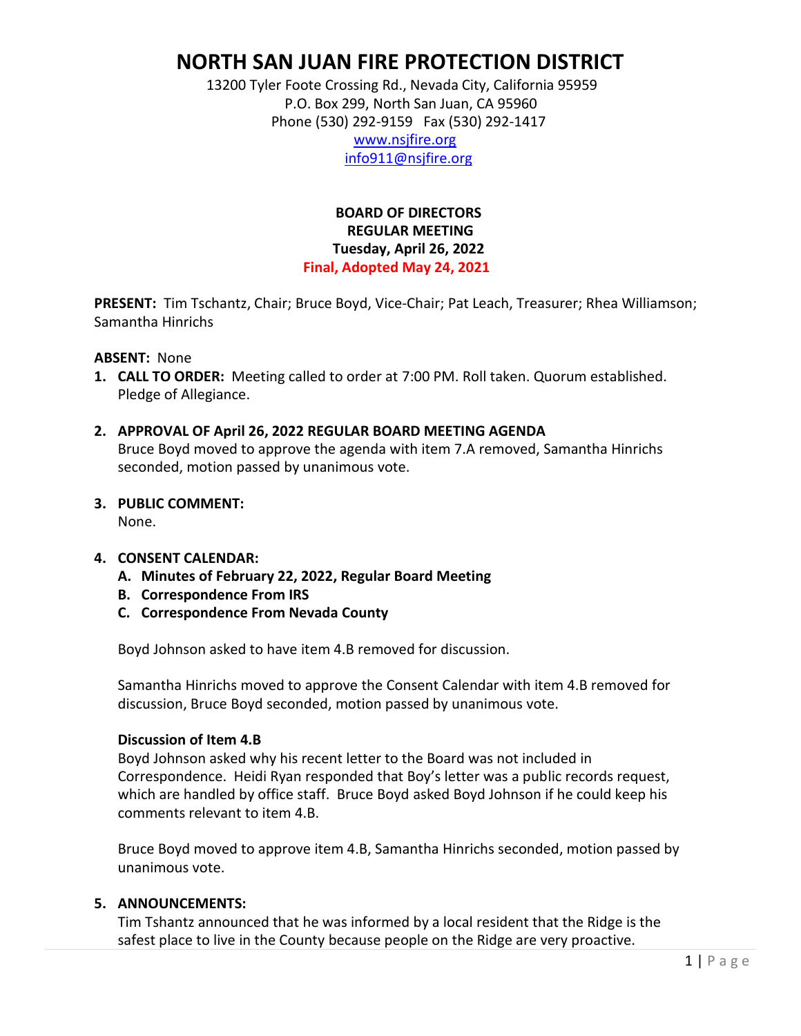# **NORTH SAN JUAN FIRE PROTECTION DISTRICT**

 13200 Tyler Foote Crossing Rd., Nevada City, California 95959 P.O. Box 299, North San Juan, CA 95960 Phone (530) 292-9159 Fax (530) 292-1417

 [www.nsjfire.org](http://www.nsjfire.org/) [info911@nsjfire.org](mailto:info911@nsjfire.org)

#### **BOARD OF DIRECTORS REGULAR MEETING Tuesday, April 26, 2022 Final, Adopted May 24, 2021**

**PRESENT:** Tim Tschantz, Chair; Bruce Boyd, Vice-Chair; Pat Leach, Treasurer; Rhea Williamson; Samantha Hinrichs

#### **ABSENT:** None

- **1. CALL TO ORDER:** Meeting called to order at 7:00 PM. Roll taken. Quorum established. Pledge of Allegiance.
- **2. APPROVAL OF April 26, 2022 REGULAR BOARD MEETING AGENDA** Bruce Boyd moved to approve the agenda with item 7.A removed, Samantha Hinrichs seconded, motion passed by unanimous vote.

## **3. PUBLIC COMMENT:**

None.

#### **4. CONSENT CALENDAR:**

- **A. Minutes of February 22, 2022, Regular Board Meeting**
- **B. Correspondence From IRS**
- **C. Correspondence From Nevada County**

Boyd Johnson asked to have item 4.B removed for discussion.

Samantha Hinrichs moved to approve the Consent Calendar with item 4.B removed for discussion, Bruce Boyd seconded, motion passed by unanimous vote.

#### **Discussion of Item 4.B**

Boyd Johnson asked why his recent letter to the Board was not included in Correspondence. Heidi Ryan responded that Boy's letter was a public records request, which are handled by office staff. Bruce Boyd asked Boyd Johnson if he could keep his comments relevant to item 4.B.

Bruce Boyd moved to approve item 4.B, Samantha Hinrichs seconded, motion passed by unanimous vote.

#### **5. ANNOUNCEMENTS:**

Tim Tshantz announced that he was informed by a local resident that the Ridge is the safest place to live in the County because people on the Ridge are very proactive.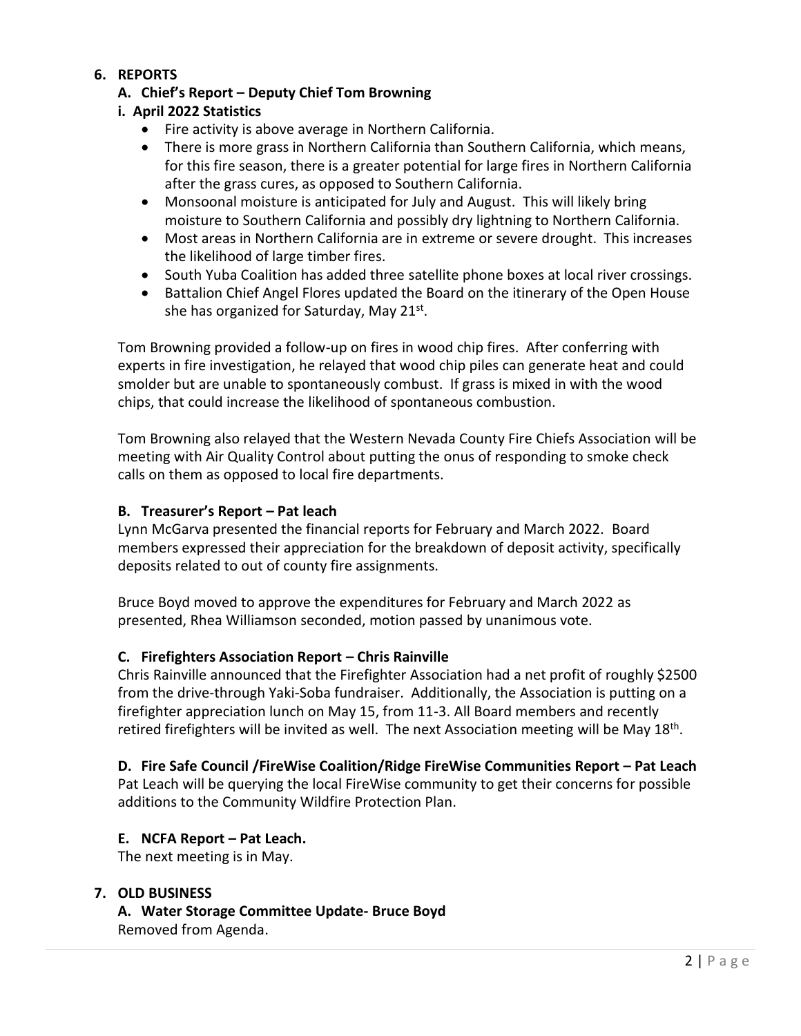# **6. REPORTS**

# **A. Chief's Report – Deputy Chief Tom Browning**

# **i. April 2022 Statistics**

- Fire activity is above average in Northern California.
- There is more grass in Northern California than Southern California, which means, for this fire season, there is a greater potential for large fires in Northern California after the grass cures, as opposed to Southern California.
- Monsoonal moisture is anticipated for July and August. This will likely bring moisture to Southern California and possibly dry lightning to Northern California.
- Most areas in Northern California are in extreme or severe drought. This increases the likelihood of large timber fires.
- South Yuba Coalition has added three satellite phone boxes at local river crossings.
- Battalion Chief Angel Flores updated the Board on the itinerary of the Open House she has organized for Saturday, May 21st.

Tom Browning provided a follow-up on fires in wood chip fires. After conferring with experts in fire investigation, he relayed that wood chip piles can generate heat and could smolder but are unable to spontaneously combust. If grass is mixed in with the wood chips, that could increase the likelihood of spontaneous combustion.

Tom Browning also relayed that the Western Nevada County Fire Chiefs Association will be meeting with Air Quality Control about putting the onus of responding to smoke check calls on them as opposed to local fire departments.

# **B. Treasurer's Report – Pat leach**

Lynn McGarva presented the financial reports for February and March 2022. Board members expressed their appreciation for the breakdown of deposit activity, specifically deposits related to out of county fire assignments.

Bruce Boyd moved to approve the expenditures for February and March 2022 as presented, Rhea Williamson seconded, motion passed by unanimous vote.

## **C. Firefighters Association Report – Chris Rainville**

Chris Rainville announced that the Firefighter Association had a net profit of roughly \$2500 from the drive-through Yaki-Soba fundraiser. Additionally, the Association is putting on a firefighter appreciation lunch on May 15, from 11-3. All Board members and recently retired firefighters will be invited as well. The next Association meeting will be May 18<sup>th</sup>.

## **D. Fire Safe Council /FireWise Coalition/Ridge FireWise Communities Report – Pat Leach**

Pat Leach will be querying the local FireWise community to get their concerns for possible additions to the Community Wildfire Protection Plan.

## **E. NCFA Report – Pat Leach.**

The next meeting is in May.

## **7. OLD BUSINESS**

**A. Water Storage Committee Update- Bruce Boyd** Removed from Agenda.